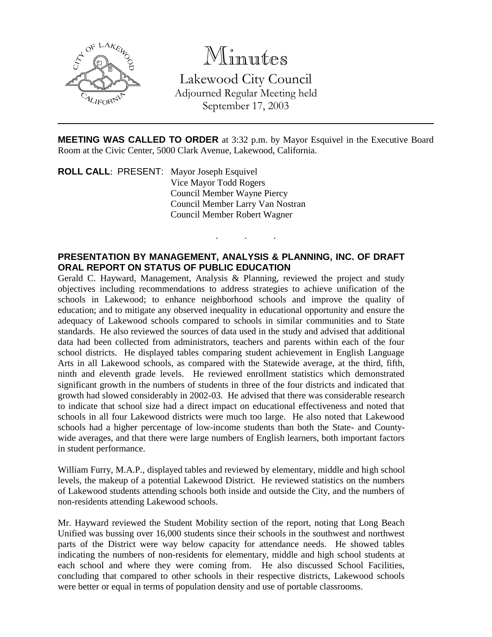

# Minutes

Lakewood City Council Adjourned Regular Meeting held September 17, 2003

**MEETING WAS CALLED TO ORDER** at 3:32 p.m. by Mayor Esquivel in the Executive Board Room at the Civic Center, 5000 Clark Avenue, Lakewood, California.

. . .

**ROLL CALL**: PRESENT: Mayor Joseph Esquivel Vice Mayor Todd Rogers Council Member Wayne Piercy Council Member Larry Van Nostran Council Member Robert Wagner

## **PRESENTATION BY MANAGEMENT, ANALYSIS & PLANNING, INC. OF DRAFT ORAL REPORT ON STATUS OF PUBLIC EDUCATION**

Gerald C. Hayward, Management, Analysis & Planning, reviewed the project and study objectives including recommendations to address strategies to achieve unification of the schools in Lakewood; to enhance neighborhood schools and improve the quality of education; and to mitigate any observed inequality in educational opportunity and ensure the adequacy of Lakewood schools compared to schools in similar communities and to State standards. He also reviewed the sources of data used in the study and advised that additional data had been collected from administrators, teachers and parents within each of the four school districts. He displayed tables comparing student achievement in English Language Arts in all Lakewood schools, as compared with the Statewide average, at the third, fifth, ninth and eleventh grade levels. He reviewed enrollment statistics which demonstrated significant growth in the numbers of students in three of the four districts and indicated that growth had slowed considerably in 2002-03. He advised that there was considerable research to indicate that school size had a direct impact on educational effectiveness and noted that schools in all four Lakewood districts were much too large. He also noted that Lakewood schools had a higher percentage of low-income students than both the State- and Countywide averages, and that there were large numbers of English learners, both important factors in student performance.

William Furry, M.A.P., displayed tables and reviewed by elementary, middle and high school levels, the makeup of a potential Lakewood District. He reviewed statistics on the numbers of Lakewood students attending schools both inside and outside the City, and the numbers of non-residents attending Lakewood schools.

Mr. Hayward reviewed the Student Mobility section of the report, noting that Long Beach Unified was bussing over 16,000 students since their schools in the southwest and northwest parts of the District were way below capacity for attendance needs. He showed tables indicating the numbers of non-residents for elementary, middle and high school students at each school and where they were coming from. He also discussed School Facilities, concluding that compared to other schools in their respective districts, Lakewood schools were better or equal in terms of population density and use of portable classrooms.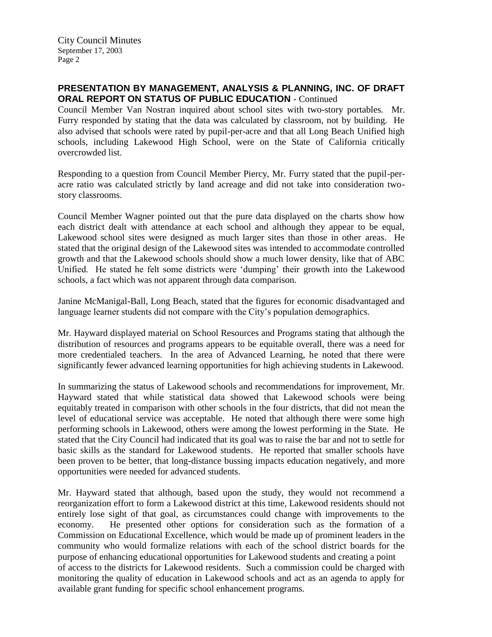City Council Minutes September 17, 2003 Page 2

## **PRESENTATION BY MANAGEMENT, ANALYSIS & PLANNING, INC. OF DRAFT ORAL REPORT ON STATUS OF PUBLIC EDUCATION** - Continued

Council Member Van Nostran inquired about school sites with two-story portables. Mr. Furry responded by stating that the data was calculated by classroom, not by building. He also advised that schools were rated by pupil-per-acre and that all Long Beach Unified high schools, including Lakewood High School, were on the State of California critically overcrowded list.

Responding to a question from Council Member Piercy, Mr. Furry stated that the pupil-peracre ratio was calculated strictly by land acreage and did not take into consideration twostory classrooms.

Council Member Wagner pointed out that the pure data displayed on the charts show how each district dealt with attendance at each school and although they appear to be equal, Lakewood school sites were designed as much larger sites than those in other areas. He stated that the original design of the Lakewood sites was intended to accommodate controlled growth and that the Lakewood schools should show a much lower density, like that of ABC Unified. He stated he felt some districts were 'dumping' their growth into the Lakewood schools, a fact which was not apparent through data comparison.

Janine McManigal-Ball, Long Beach, stated that the figures for economic disadvantaged and language learner students did not compare with the City's population demographics.

Mr. Hayward displayed material on School Resources and Programs stating that although the distribution of resources and programs appears to be equitable overall, there was a need for more credentialed teachers. In the area of Advanced Learning, he noted that there were significantly fewer advanced learning opportunities for high achieving students in Lakewood.

In summarizing the status of Lakewood schools and recommendations for improvement, Mr. Hayward stated that while statistical data showed that Lakewood schools were being equitably treated in comparison with other schools in the four districts, that did not mean the level of educational service was acceptable. He noted that although there were some high performing schools in Lakewood, others were among the lowest performing in the State. He stated that the City Council had indicated that its goal was to raise the bar and not to settle for basic skills as the standard for Lakewood students. He reported that smaller schools have been proven to be better, that long-distance bussing impacts education negatively, and more opportunities were needed for advanced students.

Mr. Hayward stated that although, based upon the study, they would not recommend a reorganization effort to form a Lakewood district at this time, Lakewood residents should not entirely lose sight of that goal, as circumstances could change with improvements to the economy. He presented other options for consideration such as the formation of a Commission on Educational Excellence, which would be made up of prominent leaders in the community who would formalize relations with each of the school district boards for the purpose of enhancing educational opportunities for Lakewood students and creating a point of access to the districts for Lakewood residents. Such a commission could be charged with monitoring the quality of education in Lakewood schools and act as an agenda to apply for available grant funding for specific school enhancement programs.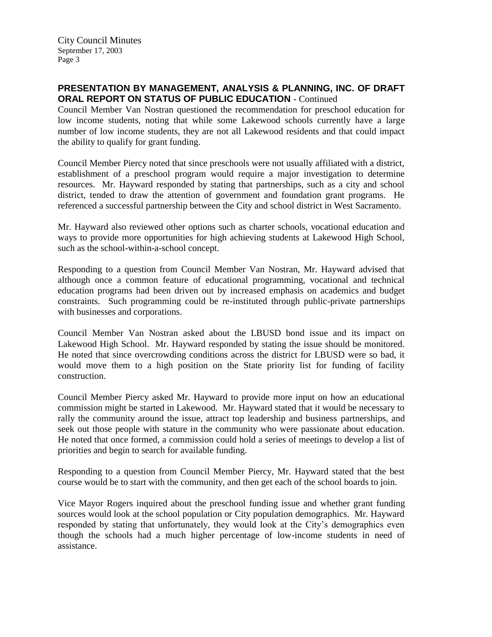City Council Minutes September 17, 2003 Page 3

## **PRESENTATION BY MANAGEMENT, ANALYSIS & PLANNING, INC. OF DRAFT ORAL REPORT ON STATUS OF PUBLIC EDUCATION** - Continued

Council Member Van Nostran questioned the recommendation for preschool education for low income students, noting that while some Lakewood schools currently have a large number of low income students, they are not all Lakewood residents and that could impact the ability to qualify for grant funding.

Council Member Piercy noted that since preschools were not usually affiliated with a district, establishment of a preschool program would require a major investigation to determine resources. Mr. Hayward responded by stating that partnerships, such as a city and school district, tended to draw the attention of government and foundation grant programs. He referenced a successful partnership between the City and school district in West Sacramento.

Mr. Hayward also reviewed other options such as charter schools, vocational education and ways to provide more opportunities for high achieving students at Lakewood High School, such as the school-within-a-school concept.

Responding to a question from Council Member Van Nostran, Mr. Hayward advised that although once a common feature of educational programming, vocational and technical education programs had been driven out by increased emphasis on academics and budget constraints. Such programming could be re-instituted through public-private partnerships with businesses and corporations.

Council Member Van Nostran asked about the LBUSD bond issue and its impact on Lakewood High School. Mr. Hayward responded by stating the issue should be monitored. He noted that since overcrowding conditions across the district for LBUSD were so bad, it would move them to a high position on the State priority list for funding of facility construction.

Council Member Piercy asked Mr. Hayward to provide more input on how an educational commission might be started in Lakewood. Mr. Hayward stated that it would be necessary to rally the community around the issue, attract top leadership and business partnerships, and seek out those people with stature in the community who were passionate about education. He noted that once formed, a commission could hold a series of meetings to develop a list of priorities and begin to search for available funding.

Responding to a question from Council Member Piercy, Mr. Hayward stated that the best course would be to start with the community, and then get each of the school boards to join.

Vice Mayor Rogers inquired about the preschool funding issue and whether grant funding sources would look at the school population or City population demographics. Mr. Hayward responded by stating that unfortunately, they would look at the City's demographics even though the schools had a much higher percentage of low-income students in need of assistance.